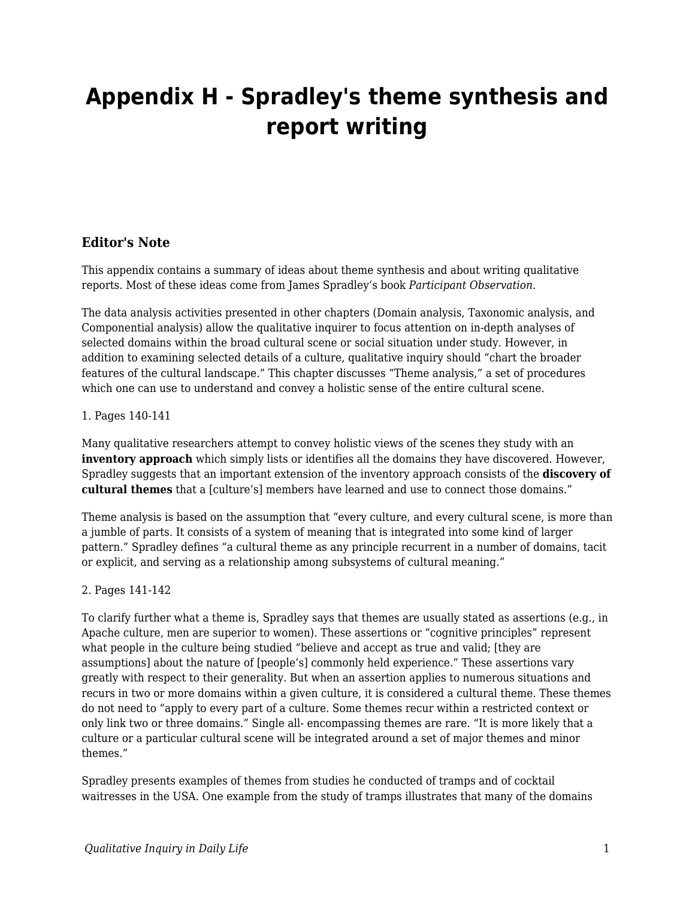# **Appendix H - Spradley's theme synthesis and report writing**

### **Editor's Note**

This appendix contains a summary of ideas about theme synthesis and about writing qualitative reports. Most of these ideas come from James Spradley's book *Participant Observation*.

The data analysis activities presented in other chapters (Domain analysis, Taxonomic analysis, and Componential analysis) allow the qualitative inquirer to focus attention on in-depth analyses of selected domains within the broad cultural scene or social situation under study. However, in addition to examining selected details of a culture, qualitative inquiry should "chart the broader features of the cultural landscape." This chapter discusses "Theme analysis," a set of procedures which one can use to understand and convey a holistic sense of the entire cultural scene.

#### 1. Pages 140-141

Many qualitative researchers attempt to convey holistic views of the scenes they study with an **inventory approach** which simply lists or identifies all the domains they have discovered. However, Spradley suggests that an important extension of the inventory approach consists of the **discovery of cultural themes** that a [culture's] members have learned and use to connect those domains."

Theme analysis is based on the assumption that "every culture, and every cultural scene, is more than a jumble of parts. It consists of a system of meaning that is integrated into some kind of larger pattern." Spradley defines "a cultural theme as any principle recurrent in a number of domains, tacit or explicit, and serving as a relationship among subsystems of cultural meaning."

#### 2. Pages 141-142

To clarify further what a theme is, Spradley says that themes are usually stated as assertions (e.g., in Apache culture, men are superior to women). These assertions or "cognitive principles" represent what people in the culture being studied "believe and accept as true and valid; [they are assumptions] about the nature of [people's] commonly held experience." These assertions vary greatly with respect to their generality. But when an assertion applies to numerous situations and recurs in two or more domains within a given culture, it is considered a cultural theme. These themes do not need to "apply to every part of a culture. Some themes recur within a restricted context or only link two or three domains." Single all- encompassing themes are rare. "It is more likely that a culture or a particular cultural scene will be integrated around a set of major themes and minor themes."

Spradley presents examples of themes from studies he conducted of tramps and of cocktail waitresses in the USA. One example from the study of tramps illustrates that many of the domains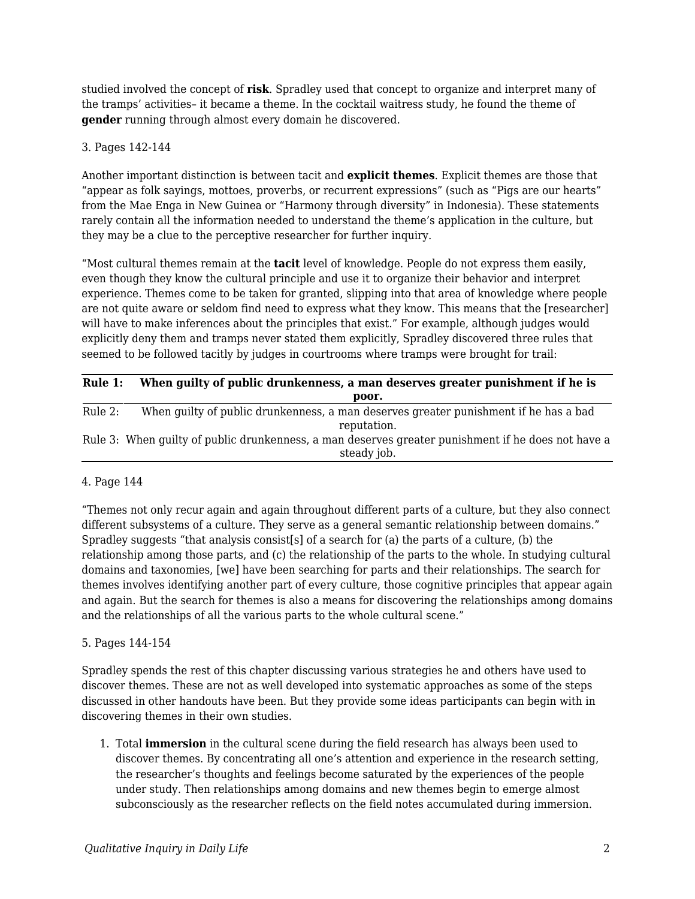studied involved the concept of **risk**. Spradley used that concept to organize and interpret many of the tramps' activities– it became a theme. In the cocktail waitress study, he found the theme of **gender** running through almost every domain he discovered.

#### 3. Pages 142-144

Another important distinction is between tacit and **explicit themes**. Explicit themes are those that "appear as folk sayings, mottoes, proverbs, or recurrent expressions" (such as "Pigs are our hearts" from the Mae Enga in New Guinea or "Harmony through diversity" in Indonesia). These statements rarely contain all the information needed to understand the theme's application in the culture, but they may be a clue to the perceptive researcher for further inquiry.

"Most cultural themes remain at the **tacit** level of knowledge. People do not express them easily, even though they know the cultural principle and use it to organize their behavior and interpret experience. Themes come to be taken for granted, slipping into that area of knowledge where people are not quite aware or seldom find need to express what they know. This means that the [researcher] will have to make inferences about the principles that exist." For example, although judges would explicitly deny them and tramps never stated them explicitly, Spradley discovered three rules that seemed to be followed tacitly by judges in courtrooms where tramps were brought for trail:

| Rule 1: | When quilty of public drunkenness, a man deserves greater punishment if he is                                     |
|---------|-------------------------------------------------------------------------------------------------------------------|
|         | poor.                                                                                                             |
| Rule 2: | When quilty of public drunkenness, a man deserves greater punishment if he has a bad<br>reputation.               |
|         | Rule 3: When guilty of public drunkenness, a man deserves greater punishment if he does not have a<br>steady job. |

#### 4. Page 144

"Themes not only recur again and again throughout different parts of a culture, but they also connect different subsystems of a culture. They serve as a general semantic relationship between domains." Spradley suggests "that analysis consist[s] of a search for (a) the parts of a culture, (b) the relationship among those parts, and (c) the relationship of the parts to the whole. In studying cultural domains and taxonomies, [we] have been searching for parts and their relationships. The search for themes involves identifying another part of every culture, those cognitive principles that appear again and again. But the search for themes is also a means for discovering the relationships among domains and the relationships of all the various parts to the whole cultural scene."

#### 5. Pages 144-154

Spradley spends the rest of this chapter discussing various strategies he and others have used to discover themes. These are not as well developed into systematic approaches as some of the steps discussed in other handouts have been. But they provide some ideas participants can begin with in discovering themes in their own studies.

1. Total **immersion** in the cultural scene during the field research has always been used to discover themes. By concentrating all one's attention and experience in the research setting, the researcher's thoughts and feelings become saturated by the experiences of the people under study. Then relationships among domains and new themes begin to emerge almost subconsciously as the researcher reflects on the field notes accumulated during immersion.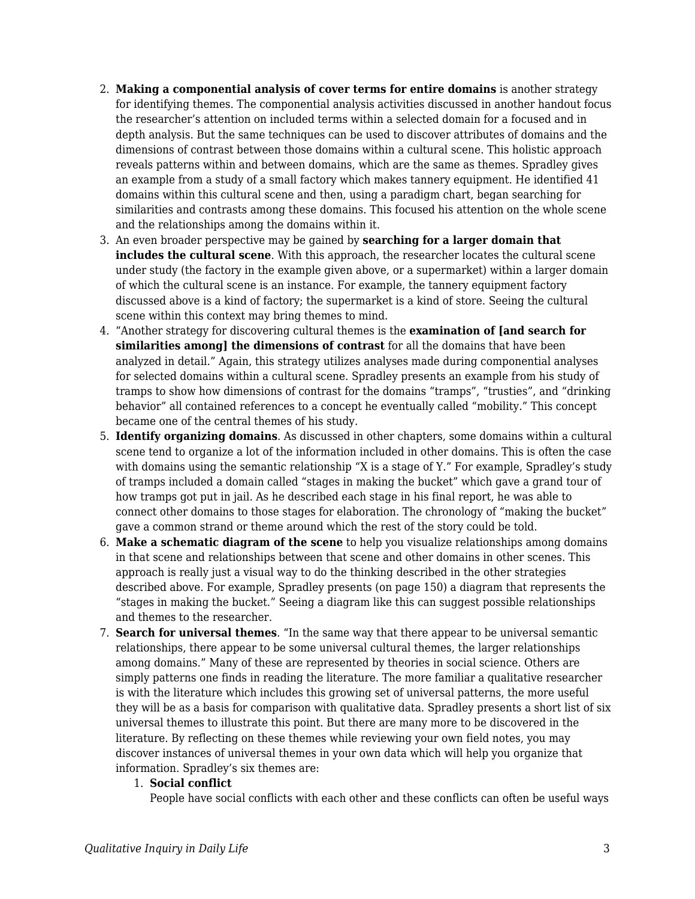- 2. **Making a componential analysis of cover terms for entire domains** is another strategy for identifying themes. The componential analysis activities discussed in another handout focus the researcher's attention on included terms within a selected domain for a focused and in depth analysis. But the same techniques can be used to discover attributes of domains and the dimensions of contrast between those domains within a cultural scene. This holistic approach reveals patterns within and between domains, which are the same as themes. Spradley gives an example from a study of a small factory which makes tannery equipment. He identified 41 domains within this cultural scene and then, using a paradigm chart, began searching for similarities and contrasts among these domains. This focused his attention on the whole scene and the relationships among the domains within it.
- 3. An even broader perspective may be gained by **searching for a larger domain that includes the cultural scene**. With this approach, the researcher locates the cultural scene under study (the factory in the example given above, or a supermarket) within a larger domain of which the cultural scene is an instance. For example, the tannery equipment factory discussed above is a kind of factory; the supermarket is a kind of store. Seeing the cultural scene within this context may bring themes to mind.
- 4. "Another strategy for discovering cultural themes is the **examination of [and search for similarities among] the dimensions of contrast** for all the domains that have been analyzed in detail." Again, this strategy utilizes analyses made during componential analyses for selected domains within a cultural scene. Spradley presents an example from his study of tramps to show how dimensions of contrast for the domains "tramps", "trusties", and "drinking behavior" all contained references to a concept he eventually called "mobility." This concept became one of the central themes of his study.
- 5. **Identify organizing domains**. As discussed in other chapters, some domains within a cultural scene tend to organize a lot of the information included in other domains. This is often the case with domains using the semantic relationship "X is a stage of Y." For example, Spradley's study of tramps included a domain called "stages in making the bucket" which gave a grand tour of how tramps got put in jail. As he described each stage in his final report, he was able to connect other domains to those stages for elaboration. The chronology of "making the bucket" gave a common strand or theme around which the rest of the story could be told.
- 6. **Make a schematic diagram of the scene** to help you visualize relationships among domains in that scene and relationships between that scene and other domains in other scenes. This approach is really just a visual way to do the thinking described in the other strategies described above. For example, Spradley presents (on page 150) a diagram that represents the "stages in making the bucket." Seeing a diagram like this can suggest possible relationships and themes to the researcher.
- 7. **Search for universal themes**. "In the same way that there appear to be universal semantic relationships, there appear to be some universal cultural themes, the larger relationships among domains." Many of these are represented by theories in social science. Others are simply patterns one finds in reading the literature. The more familiar a qualitative researcher is with the literature which includes this growing set of universal patterns, the more useful they will be as a basis for comparison with qualitative data. Spradley presents a short list of six universal themes to illustrate this point. But there are many more to be discovered in the literature. By reflecting on these themes while reviewing your own field notes, you may discover instances of universal themes in your own data which will help you organize that information. Spradley's six themes are:

#### 1. **Social conflict**

People have social conflicts with each other and these conflicts can often be useful ways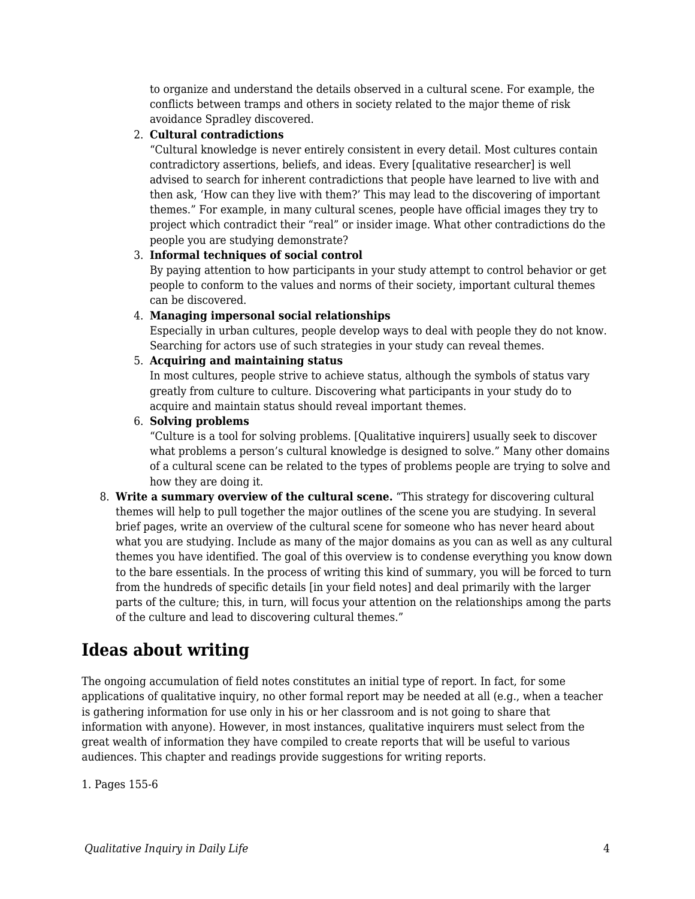to organize and understand the details observed in a cultural scene. For example, the conflicts between tramps and others in society related to the major theme of risk avoidance Spradley discovered.

#### 2. **Cultural contradictions**

"Cultural knowledge is never entirely consistent in every detail. Most cultures contain contradictory assertions, beliefs, and ideas. Every [qualitative researcher] is well advised to search for inherent contradictions that people have learned to live with and then ask, 'How can they live with them?' This may lead to the discovering of important themes." For example, in many cultural scenes, people have official images they try to project which contradict their "real" or insider image. What other contradictions do the people you are studying demonstrate?

#### 3. **Informal techniques of social control**

By paying attention to how participants in your study attempt to control behavior or get people to conform to the values and norms of their society, important cultural themes can be discovered.

#### 4. **Managing impersonal social relationships**

Especially in urban cultures, people develop ways to deal with people they do not know. Searching for actors use of such strategies in your study can reveal themes.

#### 5. **Acquiring and maintaining status**

In most cultures, people strive to achieve status, although the symbols of status vary greatly from culture to culture. Discovering what participants in your study do to acquire and maintain status should reveal important themes.

#### 6. **Solving problems**

"Culture is a tool for solving problems. [Qualitative inquirers] usually seek to discover what problems a person's cultural knowledge is designed to solve." Many other domains of a cultural scene can be related to the types of problems people are trying to solve and how they are doing it.

8. **Write a summary overview of the cultural scene.** "This strategy for discovering cultural themes will help to pull together the major outlines of the scene you are studying. In several brief pages, write an overview of the cultural scene for someone who has never heard about what you are studying. Include as many of the major domains as you can as well as any cultural themes you have identified. The goal of this overview is to condense everything you know down to the bare essentials. In the process of writing this kind of summary, you will be forced to turn from the hundreds of specific details [in your field notes] and deal primarily with the larger parts of the culture; this, in turn, will focus your attention on the relationships among the parts of the culture and lead to discovering cultural themes."

## **Ideas about writing**

The ongoing accumulation of field notes constitutes an initial type of report. In fact, for some applications of qualitative inquiry, no other formal report may be needed at all (e.g., when a teacher is gathering information for use only in his or her classroom and is not going to share that information with anyone). However, in most instances, qualitative inquirers must select from the great wealth of information they have compiled to create reports that will be useful to various audiences. This chapter and readings provide suggestions for writing reports.

1. Pages 155-6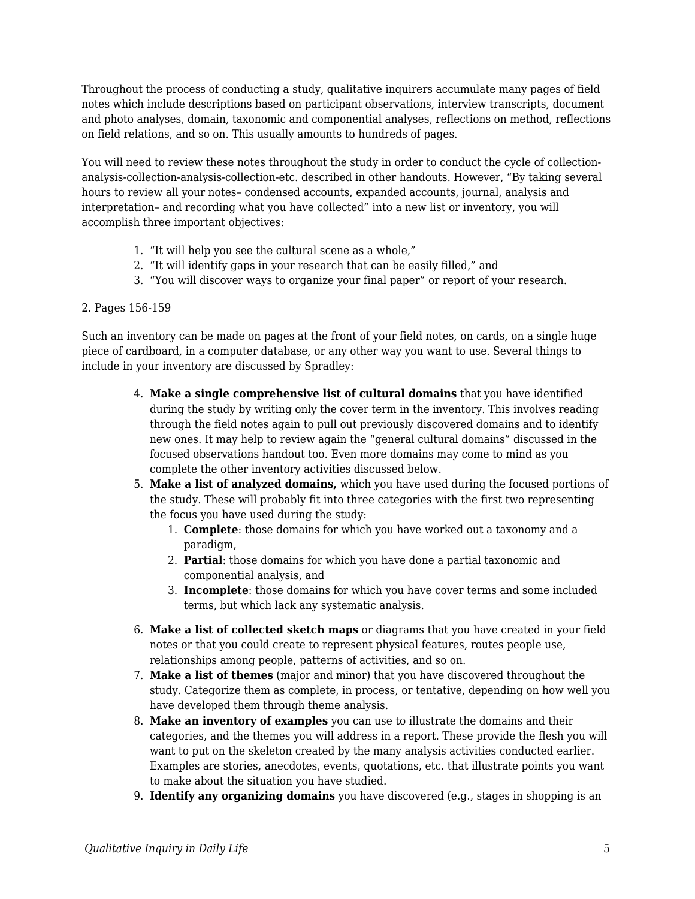Throughout the process of conducting a study, qualitative inquirers accumulate many pages of field notes which include descriptions based on participant observations, interview transcripts, document and photo analyses, domain, taxonomic and componential analyses, reflections on method, reflections on field relations, and so on. This usually amounts to hundreds of pages.

You will need to review these notes throughout the study in order to conduct the cycle of collectionanalysis-collection-analysis-collection-etc. described in other handouts. However, "By taking several hours to review all your notes– condensed accounts, expanded accounts, journal, analysis and interpretation– and recording what you have collected" into a new list or inventory, you will accomplish three important objectives:

- 1. "It will help you see the cultural scene as a whole,"
- 2. "It will identify gaps in your research that can be easily filled," and
- 3. "You will discover ways to organize your final paper" or report of your research.

#### 2. Pages 156-159

Such an inventory can be made on pages at the front of your field notes, on cards, on a single huge piece of cardboard, in a computer database, or any other way you want to use. Several things to include in your inventory are discussed by Spradley:

- 4. **Make a single comprehensive list of cultural domains** that you have identified during the study by writing only the cover term in the inventory. This involves reading through the field notes again to pull out previously discovered domains and to identify new ones. It may help to review again the "general cultural domains" discussed in the focused observations handout too. Even more domains may come to mind as you complete the other inventory activities discussed below.
- 5. **Make a list of analyzed domains,** which you have used during the focused portions of the study. These will probably fit into three categories with the first two representing the focus you have used during the study:
	- 1. **Complete**: those domains for which you have worked out a taxonomy and a paradigm,
	- 2. **Partial**: those domains for which you have done a partial taxonomic and componential analysis, and
	- 3. **Incomplete**: those domains for which you have cover terms and some included terms, but which lack any systematic analysis.
- 6. **Make a list of collected sketch maps** or diagrams that you have created in your field notes or that you could create to represent physical features, routes people use, relationships among people, patterns of activities, and so on.
- 7. **Make a list of themes** (major and minor) that you have discovered throughout the study. Categorize them as complete, in process, or tentative, depending on how well you have developed them through theme analysis.
- 8. **Make an inventory of examples** you can use to illustrate the domains and their categories, and the themes you will address in a report. These provide the flesh you will want to put on the skeleton created by the many analysis activities conducted earlier. Examples are stories, anecdotes, events, quotations, etc. that illustrate points you want to make about the situation you have studied.
- 9. **Identify any organizing domains** you have discovered (e.g., stages in shopping is an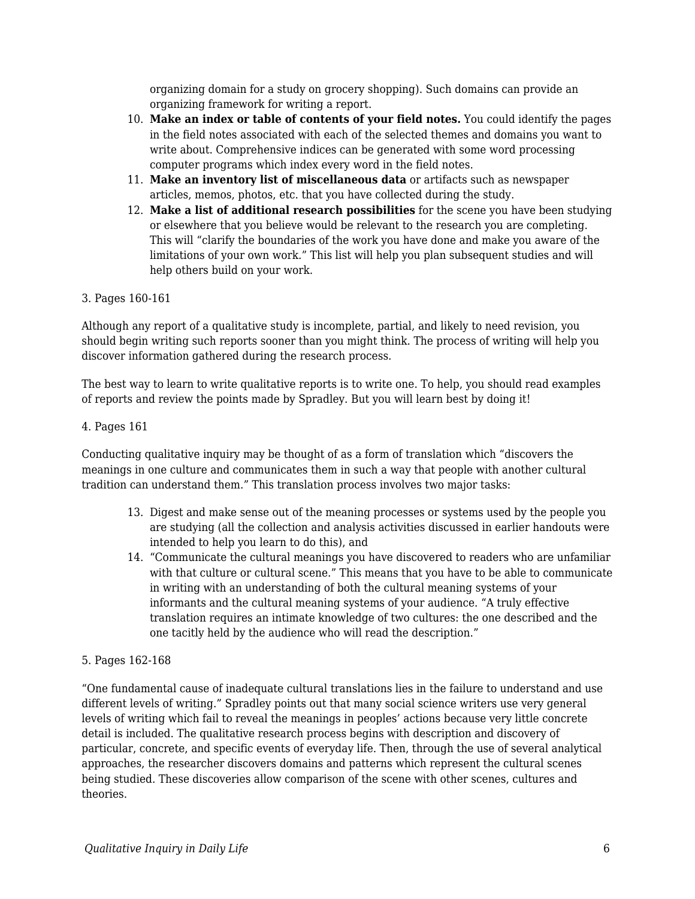organizing domain for a study on grocery shopping). Such domains can provide an organizing framework for writing a report.

- 10. **Make an index or table of contents of your field notes.** You could identify the pages in the field notes associated with each of the selected themes and domains you want to write about. Comprehensive indices can be generated with some word processing computer programs which index every word in the field notes.
- 11. **Make an inventory list of miscellaneous data** or artifacts such as newspaper articles, memos, photos, etc. that you have collected during the study.
- 12. **Make a list of additional research possibilities** for the scene you have been studying or elsewhere that you believe would be relevant to the research you are completing. This will "clarify the boundaries of the work you have done and make you aware of the limitations of your own work." This list will help you plan subsequent studies and will help others build on your work.

#### 3. Pages 160-161

Although any report of a qualitative study is incomplete, partial, and likely to need revision, you should begin writing such reports sooner than you might think. The process of writing will help you discover information gathered during the research process.

The best way to learn to write qualitative reports is to write one. To help, you should read examples of reports and review the points made by Spradley. But you will learn best by doing it!

#### 4. Pages 161

Conducting qualitative inquiry may be thought of as a form of translation which "discovers the meanings in one culture and communicates them in such a way that people with another cultural tradition can understand them." This translation process involves two major tasks:

- 13. Digest and make sense out of the meaning processes or systems used by the people you are studying (all the collection and analysis activities discussed in earlier handouts were intended to help you learn to do this), and
- 14. "Communicate the cultural meanings you have discovered to readers who are unfamiliar with that culture or cultural scene." This means that you have to be able to communicate in writing with an understanding of both the cultural meaning systems of your informants and the cultural meaning systems of your audience. "A truly effective translation requires an intimate knowledge of two cultures: the one described and the one tacitly held by the audience who will read the description."

#### 5. Pages 162-168

"One fundamental cause of inadequate cultural translations lies in the failure to understand and use different levels of writing." Spradley points out that many social science writers use very general levels of writing which fail to reveal the meanings in peoples' actions because very little concrete detail is included. The qualitative research process begins with description and discovery of particular, concrete, and specific events of everyday life. Then, through the use of several analytical approaches, the researcher discovers domains and patterns which represent the cultural scenes being studied. These discoveries allow comparison of the scene with other scenes, cultures and theories.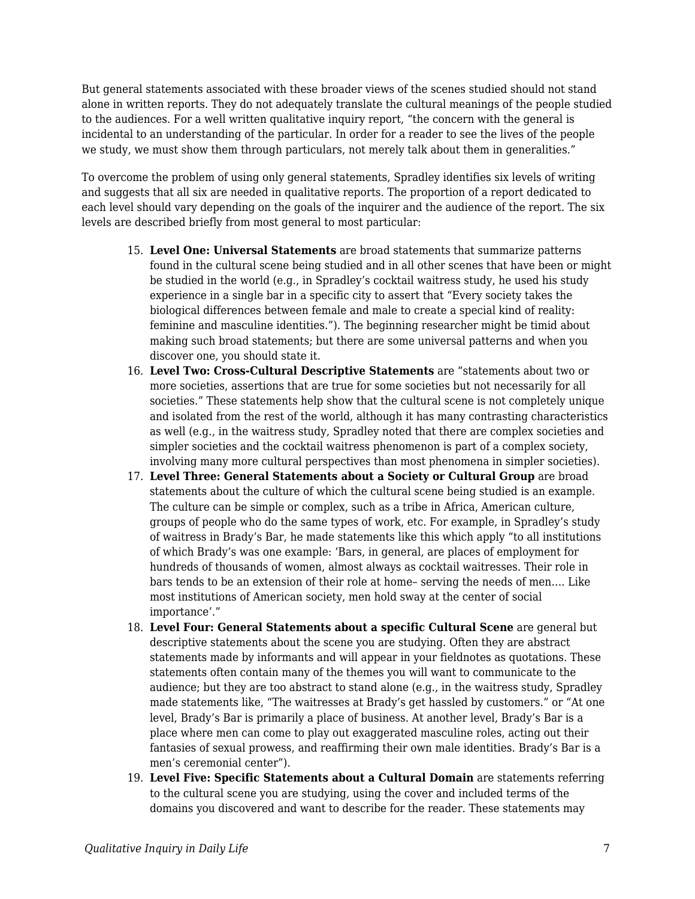But general statements associated with these broader views of the scenes studied should not stand alone in written reports. They do not adequately translate the cultural meanings of the people studied to the audiences. For a well written qualitative inquiry report, "the concern with the general is incidental to an understanding of the particular. In order for a reader to see the lives of the people we study, we must show them through particulars, not merely talk about them in generalities."

To overcome the problem of using only general statements, Spradley identifies six levels of writing and suggests that all six are needed in qualitative reports. The proportion of a report dedicated to each level should vary depending on the goals of the inquirer and the audience of the report. The six levels are described briefly from most general to most particular:

- 15. **Level One: Universal Statements** are broad statements that summarize patterns found in the cultural scene being studied and in all other scenes that have been or might be studied in the world (e.g., in Spradley's cocktail waitress study, he used his study experience in a single bar in a specific city to assert that "Every society takes the biological differences between female and male to create a special kind of reality: feminine and masculine identities."). The beginning researcher might be timid about making such broad statements; but there are some universal patterns and when you discover one, you should state it.
- 16. **Level Two: Cross-Cultural Descriptive Statements** are "statements about two or more societies, assertions that are true for some societies but not necessarily for all societies." These statements help show that the cultural scene is not completely unique and isolated from the rest of the world, although it has many contrasting characteristics as well (e.g., in the waitress study, Spradley noted that there are complex societies and simpler societies and the cocktail waitress phenomenon is part of a complex society, involving many more cultural perspectives than most phenomena in simpler societies).
- 17. **Level Three: General Statements about a Society or Cultural Group** are broad statements about the culture of which the cultural scene being studied is an example. The culture can be simple or complex, such as a tribe in Africa, American culture, groups of people who do the same types of work, etc. For example, in Spradley's study of waitress in Brady's Bar, he made statements like this which apply "to all institutions of which Brady's was one example: 'Bars, in general, are places of employment for hundreds of thousands of women, almost always as cocktail waitresses. Their role in bars tends to be an extension of their role at home– serving the needs of men…. Like most institutions of American society, men hold sway at the center of social importance'."
- 18. **Level Four: General Statements about a specific Cultural Scene** are general but descriptive statements about the scene you are studying. Often they are abstract statements made by informants and will appear in your fieldnotes as quotations. These statements often contain many of the themes you will want to communicate to the audience; but they are too abstract to stand alone (e.g., in the waitress study, Spradley made statements like, "The waitresses at Brady's get hassled by customers." or "At one level, Brady's Bar is primarily a place of business. At another level, Brady's Bar is a place where men can come to play out exaggerated masculine roles, acting out their fantasies of sexual prowess, and reaffirming their own male identities. Brady's Bar is a men's ceremonial center").
- 19. **Level Five: Specific Statements about a Cultural Domain** are statements referring to the cultural scene you are studying, using the cover and included terms of the domains you discovered and want to describe for the reader. These statements may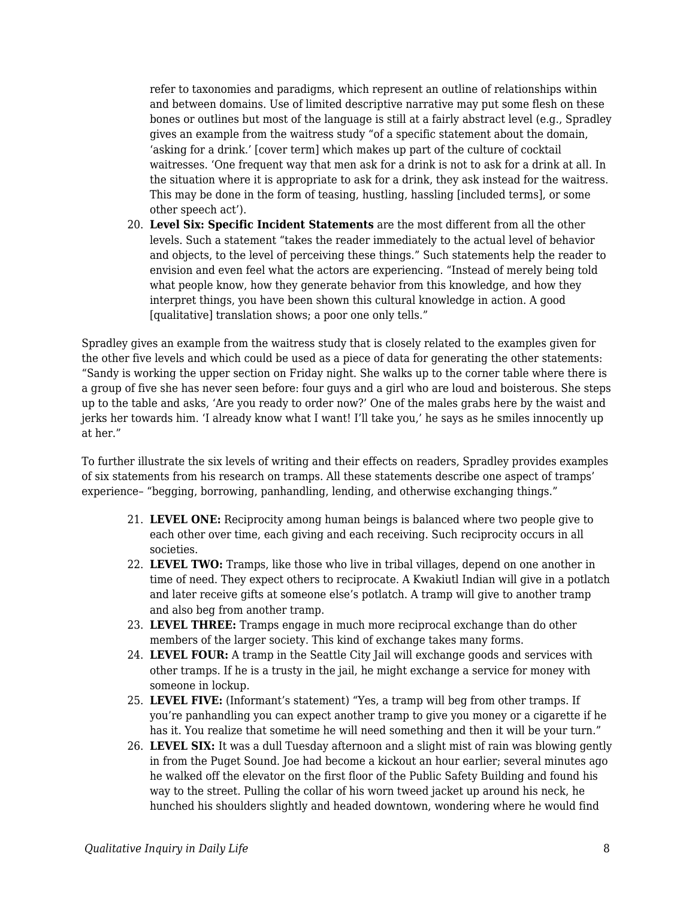refer to taxonomies and paradigms, which represent an outline of relationships within and between domains. Use of limited descriptive narrative may put some flesh on these bones or outlines but most of the language is still at a fairly abstract level (e.g., Spradley gives an example from the waitress study "of a specific statement about the domain, 'asking for a drink.' [cover term] which makes up part of the culture of cocktail waitresses. 'One frequent way that men ask for a drink is not to ask for a drink at all. In the situation where it is appropriate to ask for a drink, they ask instead for the waitress. This may be done in the form of teasing, hustling, hassling [included terms], or some other speech act').

20. **Level Six: Specific Incident Statements** are the most different from all the other levels. Such a statement "takes the reader immediately to the actual level of behavior and objects, to the level of perceiving these things." Such statements help the reader to envision and even feel what the actors are experiencing. "Instead of merely being told what people know, how they generate behavior from this knowledge, and how they interpret things, you have been shown this cultural knowledge in action. A good [qualitative] translation shows; a poor one only tells."

Spradley gives an example from the waitress study that is closely related to the examples given for the other five levels and which could be used as a piece of data for generating the other statements: "Sandy is working the upper section on Friday night. She walks up to the corner table where there is a group of five she has never seen before: four guys and a girl who are loud and boisterous. She steps up to the table and asks, 'Are you ready to order now?' One of the males grabs here by the waist and jerks her towards him. 'I already know what I want! I'll take you,' he says as he smiles innocently up at her."

To further illustrate the six levels of writing and their effects on readers, Spradley provides examples of six statements from his research on tramps. All these statements describe one aspect of tramps' experience– "begging, borrowing, panhandling, lending, and otherwise exchanging things."

- 21. **LEVEL ONE:** Reciprocity among human beings is balanced where two people give to each other over time, each giving and each receiving. Such reciprocity occurs in all societies.
- 22. **LEVEL TWO:** Tramps, like those who live in tribal villages, depend on one another in time of need. They expect others to reciprocate. A Kwakiutl Indian will give in a potlatch and later receive gifts at someone else's potlatch. A tramp will give to another tramp and also beg from another tramp.
- 23. **LEVEL THREE:** Tramps engage in much more reciprocal exchange than do other members of the larger society. This kind of exchange takes many forms.
- 24. **LEVEL FOUR:** A tramp in the Seattle City Jail will exchange goods and services with other tramps. If he is a trusty in the jail, he might exchange a service for money with someone in lockup.
- 25. **LEVEL FIVE:** (Informant's statement) "Yes, a tramp will beg from other tramps. If you're panhandling you can expect another tramp to give you money or a cigarette if he has it. You realize that sometime he will need something and then it will be your turn."
- 26. **LEVEL SIX:** It was a dull Tuesday afternoon and a slight mist of rain was blowing gently in from the Puget Sound. Joe had become a kickout an hour earlier; several minutes ago he walked off the elevator on the first floor of the Public Safety Building and found his way to the street. Pulling the collar of his worn tweed jacket up around his neck, he hunched his shoulders slightly and headed downtown, wondering where he would find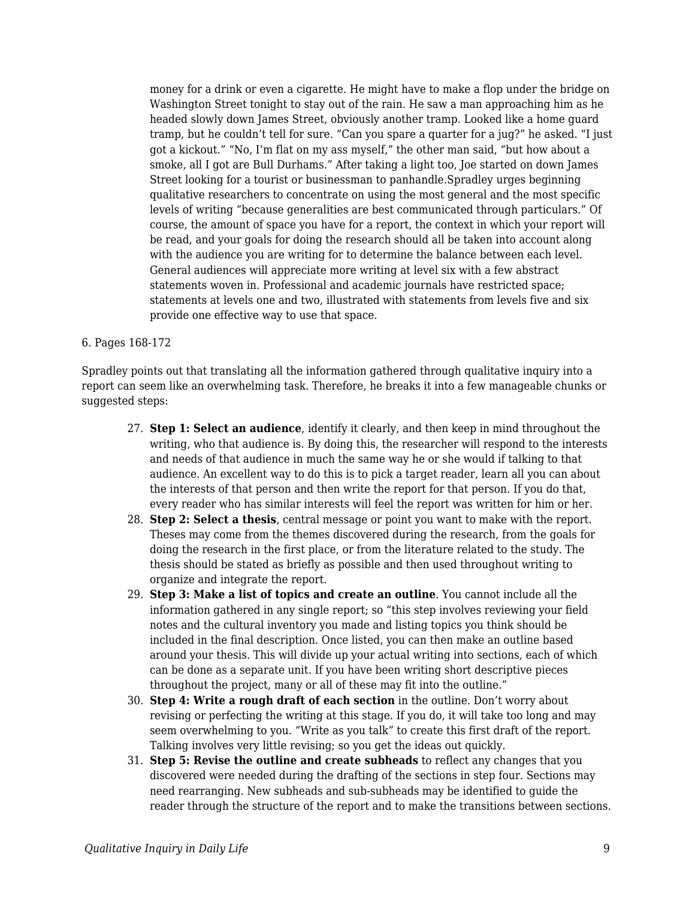money for a drink or even a cigarette. He might have to make a flop under the bridge on Washington Street tonight to stay out of the rain. He saw a man approaching him as he headed slowly down James Street, obviously another tramp. Looked like a home guard tramp, but he couldn't tell for sure. "Can you spare a quarter for a jug?" he asked. "I just got a kickout." "No, I'm flat on my ass myself," the other man said, "but how about a smoke, all I got are Bull Durhams." After taking a light too, Joe started on down James Street looking for a tourist or businessman to panhandle.Spradley urges beginning qualitative researchers to concentrate on using the most general and the most specific levels of writing "because generalities are best communicated through particulars." Of course, the amount of space you have for a report, the context in which your report will be read, and your goals for doing the research should all be taken into account along with the audience you are writing for to determine the balance between each level. General audiences will appreciate more writing at level six with a few abstract statements woven in. Professional and academic journals have restricted space; statements at levels one and two, illustrated with statements from levels five and six provide one effective way to use that space.

#### 6. Pages 168-172

Spradley points out that translating all the information gathered through qualitative inquiry into a report can seem like an overwhelming task. Therefore, he breaks it into a few manageable chunks or suggested steps:

- 27. **Step 1: Select an audience**, identify it clearly, and then keep in mind throughout the writing, who that audience is. By doing this, the researcher will respond to the interests and needs of that audience in much the same way he or she would if talking to that audience. An excellent way to do this is to pick a target reader, learn all you can about the interests of that person and then write the report for that person. If you do that, every reader who has similar interests will feel the report was written for him or her.
- 28. **Step 2: Select a thesis**, central message or point you want to make with the report. Theses may come from the themes discovered during the research, from the goals for doing the research in the first place, or from the literature related to the study. The thesis should be stated as briefly as possible and then used throughout writing to organize and integrate the report.
- 29. **Step 3: Make a list of topics and create an outline**. You cannot include all the information gathered in any single report; so "this step involves reviewing your field notes and the cultural inventory you made and listing topics you think should be included in the final description. Once listed, you can then make an outline based around your thesis. This will divide up your actual writing into sections, each of which can be done as a separate unit. If you have been writing short descriptive pieces throughout the project, many or all of these may fit into the outline."
- 30. **Step 4: Write a rough draft of each section** in the outline. Don't worry about revising or perfecting the writing at this stage. If you do, it will take too long and may seem overwhelming to you. "Write as you talk" to create this first draft of the report. Talking involves very little revising; so you get the ideas out quickly.
- 31. **Step 5: Revise the outline and create subheads** to reflect any changes that you discovered were needed during the drafting of the sections in step four. Sections may need rearranging. New subheads and sub-subheads may be identified to guide the reader through the structure of the report and to make the transitions between sections.